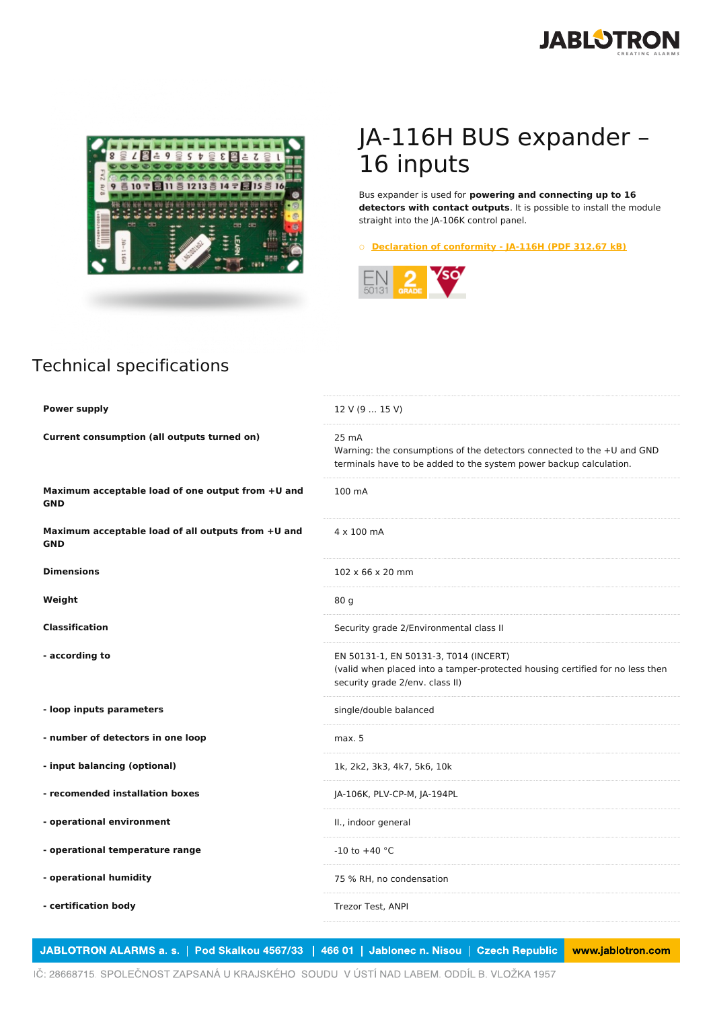



## JA-116H BUS expander – 16 inputs

Bus expander is used for **powering and connecting up to 16 detectors with contact outputs**. It is possible to install the module straight into the JA-106K control panel.

○ **[Declaration](https://www.jablotron.com/en/template/product/356/?file=0&jt_id=16746&hash=e5KerE&do=downloadCertificate) of conformity - JA-116H (PDF 312.67 kB)**



## Technical specifications

| <b>Power supply</b>                                              | 12 V (9  15 V)                                                                                                                                            |
|------------------------------------------------------------------|-----------------------------------------------------------------------------------------------------------------------------------------------------------|
| Current consumption (all outputs turned on)                      | 25 mA<br>Warning: the consumptions of the detectors connected to the +U and GND<br>terminals have to be added to the system power backup calculation.     |
| Maximum acceptable load of one output from +U and<br><b>GND</b>  | 100 mA                                                                                                                                                    |
| Maximum acceptable load of all outputs from +U and<br><b>GND</b> | 4 x 100 mA                                                                                                                                                |
| <b>Dimensions</b>                                                | $102 \times 66 \times 20$ mm                                                                                                                              |
| Weight                                                           | 80 g                                                                                                                                                      |
| <b>Classification</b>                                            | Security grade 2/Environmental class II                                                                                                                   |
| - according to                                                   | EN 50131-1, EN 50131-3, T014 (INCERT)<br>(valid when placed into a tamper-protected housing certified for no less then<br>security grade 2/env. class II) |
| - loop inputs parameters                                         | single/double balanced                                                                                                                                    |
| - number of detectors in one loop                                | max. 5                                                                                                                                                    |
| - input balancing (optional)                                     | 1k, 2k2, 3k3, 4k7, 5k6, 10k                                                                                                                               |
| - recomended installation boxes                                  | JA-106K, PLV-CP-M, JA-194PL                                                                                                                               |
| - operational environment                                        | II., indoor general                                                                                                                                       |
| - operational temperature range                                  | $-10$ to $+40$ °C                                                                                                                                         |
| - operational humidity                                           | 75 % RH, no condensation                                                                                                                                  |
| - certification body                                             | Trezor Test, ANPI                                                                                                                                         |

JABLOTRON ALARMS a. s. | Pod Skalkou 4567/33 | 466 01 | Jablonec n. Nisou | Czech Republic www.jablotron.com

IČ: 28668715. SPOLEČNOST ZAPSANÁ U KRAJSKÉHO SOUDU V ÚSTÍ NAD LABEM. ODDÍL B. VLOŽKA 1957